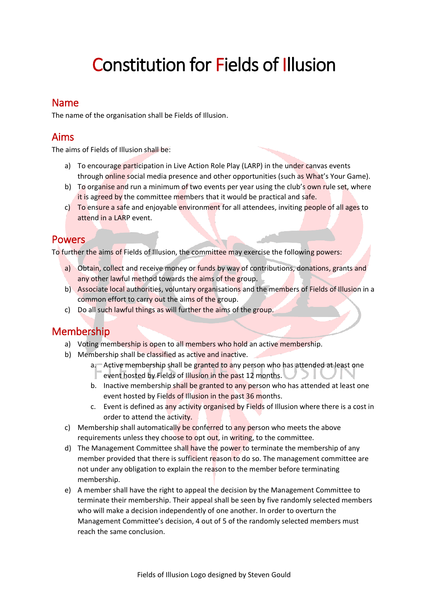# Constitution for Fields of Illusion

# Name

The name of the organisation shall be Fields of Illusion.

# Aims

The aims of Fields of Illusion shall be:

- a) To encourage participation in Live Action Role Play (LARP) in the under canvas events through online social media presence and other opportunities (such as What's Your Game).
- b) To organise and run a minimum of two events per year using the club's own rule set, where it is agreed by the committee members that it would be practical and safe.
- c) To ensure a safe and enjoyable environment for all attendees, inviting people of all ages to attend in a LARP event.

# **Powers**

To further the aims of Fields of Illusion, the committee may exercise the following powers:

- a) Obtain, collect and receive money or funds by way of contributions, donations, grants and any other lawful method towards the aims of the group.
- b) Associate local authorities, voluntary organisations and the members of Fields of Illusion in a common effort to carry out the aims of the group.
- c) Do all such lawful things as will further the aims of the group.

# Membership

- a) Voting membership is open to all members who hold an active membership.
- b) Membership shall be classified as active and inactive.
	- a. Active membership shall be granted to any person who has attended at least one event hosted by Fields of Illusion in the past 12 months.
	- b. Inactive membership shall be granted to any person who has attended at least one event hosted by Fields of Illusion in the past 36 months.
	- c. Event is defined as any activity organised by Fields of Illusion where there is a cost in order to attend the activity.
- c) Membership shall automatically be conferred to any person who meets the above requirements unless they choose to opt out, in writing, to the committee.
- d) The Management Committee shall have the power to terminate the membership of any member provided that there is sufficient reason to do so. The management committee are not under any obligation to explain the reason to the member before terminating membership.
- e) A member shall have the right to appeal the decision by the Management Committee to terminate their membership. Their appeal shall be seen by five randomly selected members who will make a decision independently of one another. In order to overturn the Management Committee's decision, 4 out of 5 of the randomly selected members must reach the same conclusion.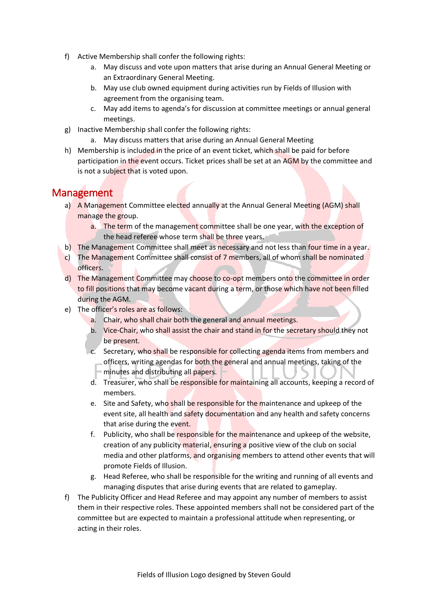- f) Active Membership shall confer the following rights:
	- a. May discuss and vote upon matters that arise during an Annual General Meeting or an Extraordinary General Meeting.
	- b. May use club owned equipment during activities run by Fields of Illusion with agreement from the organising team.
	- c. May add items to agenda's for discussion at committee meetings or annual general meetings.
- g) Inactive Membership shall confer the following rights:
	- a. May discuss matters that arise during an Annual General Meeting
- h) Membership is included in the price of an event ticket, which shall be paid for before participation in the event occurs. Ticket prices shall be set at an AGM by the committee and is not a subject that is voted upon.

# Management

- a) A Management Committee elected annually at the Annual General Meeting (AGM) shall manage the group.
	- a. The term of the management committee shall be one year, with the exception of the head referee whose term shall be three years.
- b) The Management Committee shall meet as necessary and not less than four time in a year.
- c) The Management Committee shall consist of 7 members, all of whom shall be nominated officers.
- d) The Management Committee may choose to co-opt members onto the committee in order to fill positions that may become vacant during a term, or those which have not been filled during the AGM.
- e) The officer's roles are as follows:
	- a. Chair, who shall chair both the general and annual meetings.
	- b. Vice-Chair, who shall assist the chair and stand in for the secretary should they not be present.
	- c. Secretary, who shall be responsible for collecting agenda items from members and officers, writing agendas for both the general and annual meetings, taking of the minutes and distributing all papers.
	- d. Treasurer, who shall be responsible for maintaining all accounts, keeping a record of members.
	- e. Site and Safety, who shall be responsible for the maintenance and upkeep of the event site, all health and safety documentation and any health and safety concerns that arise during the event.
	- f. Publicity, who shall be responsible for the maintenance and upkeep of the website, creation of any publicity material, ensuring a positive view of the club on social media and other platforms, and organising members to attend other events that will promote Fields of Illusion.
	- g. Head Referee, who shall be responsible for the writing and running of all events and managing disputes that arise during events that are related to gameplay.
- f) The Publicity Officer and Head Referee and may appoint any number of members to assist them in their respective roles. These appointed members shall not be considered part of the committee but are expected to maintain a professional attitude when representing, or acting in their roles.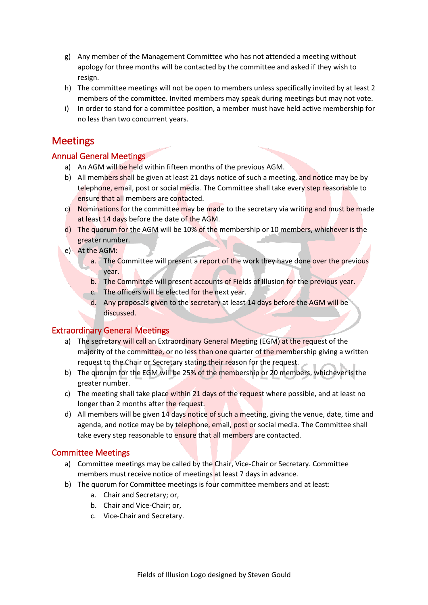- g) Any member of the Management Committee who has not attended a meeting without apology for three months will be contacted by the committee and asked if they wish to resign.
- h) The committee meetings will not be open to members unless specifically invited by at least 2 members of the committee. Invited members may speak during meetings but may not vote.
- i) In order to stand for a committee position, a member must have held active membership for no less than two concurrent years.

## **Meetings**

#### Annual General Meetings

- a) An AGM will be held within fifteen months of the previous AGM.
- b) All members shall be given at least 21 days notice of such a meeting, and notice may be by telephone, email, post or social media. The Committee shall take every step reasonable to ensure that all members are contacted.
- c) Nominations for the committee may be made to the secretary via writing and must be made at least 14 days before the date of the AGM.
- d) The quorum for the AGM will be 10% of the membership or 10 members, whichever is the greater number.
- e) At the AGM:
	- a. The Committee will present a report of the work they have done over the previous year.
	- b. The Committee will present accounts of Fields of Illusion for the previous year.
	- c. The officers will be elected for the next year.
	- d. Any proposals given to the secretary at least 14 days before the AGM will be discussed.

#### Extraordinary General Meetings

- a) The secretary will call an Extraordinary General Meeting (EGM) at the request of the majority of the committee, or no less than one quarter of the membership giving a written request to the Chair or Secretary stating their reason for the request.
- b) The quorum for the EGM will be 25% of the membership or 20 members, whichever is the greater number.
- c) The meeting shall take place within 21 days of the request where possible, and at least no longer than 2 months after the request.
- d) All members will be given 14 days notice of such a meeting, giving the venue, date, time and agenda, and notice may be by telephone, email, post or social media. The Committee shall take every step reasonable to ensure that all members are contacted.

#### Committee Meetings

- a) Committee meetings may be called by the Chair, Vice-Chair or Secretary. Committee members must receive notice of meetings at least 7 days in advance.
- b) The quorum for Committee meetings is four committee members and at least:
	- a. Chair and Secretary; or,
	- b. Chair and Vice-Chair; or,
	- c. Vice-Chair and Secretary.